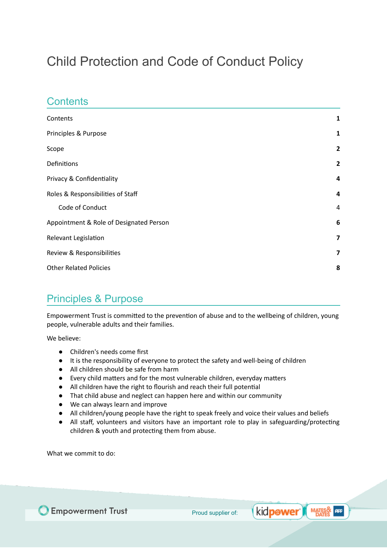# Child Protection and Code of Conduct Policy

### <span id="page-0-0"></span>**Contents**

| Contents                                | 1                       |
|-----------------------------------------|-------------------------|
| Principles & Purpose                    | 1                       |
| Scope                                   | $\overline{2}$          |
| Definitions                             | $\overline{2}$          |
| Privacy & Confidentiality               | 4                       |
| Roles & Responsibilities of Staff       | 4                       |
| Code of Conduct                         | $\overline{a}$          |
| Appointment & Role of Designated Person | 6                       |
| Relevant Legislation                    | $\overline{7}$          |
| Review & Responsibilities               | $\overline{\mathbf{z}}$ |
| <b>Other Related Policies</b>           | 8                       |

### <span id="page-0-1"></span>Principles & Purpose

Empowerment Trust is committed to the prevention of abuse and to the wellbeing of children, young people, vulnerable adults and their families.

We believe:

- Children's needs come first
- It is the responsibility of everyone to protect the safety and well-being of children
- All children should be safe from harm
- Every child matters and for the most vulnerable children, everyday matters
- All children have the right to flourish and reach their full potential
- That child abuse and neglect can happen here and within our community
- We can always learn and improve
- All children/young people have the right to speak freely and voice their values and beliefs
- All staff, volunteers and visitors have an important role to play in safeguarding/protecting children & youth and protecting them from abuse.

What we commit to do:



kid**pøwer** ) **MATES & AFF**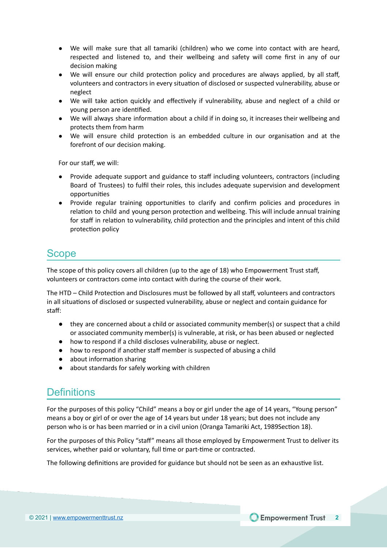- We will make sure that all tamariki (children) who we come into contact with are heard, respected and listened to, and their wellbeing and safety will come first in any of our decision making
- We will ensure our child protection policy and procedures are always applied, by all staff, volunteers and contractors in every situation of disclosed or suspected vulnerability, abuse or neglect
- We will take action quickly and effectively if vulnerability, abuse and neglect of a child or young person are identified.
- We will always share information about a child if in doing so, it increases their wellbeing and protects them from harm
- We will ensure child protection is an embedded culture in our organisation and at the forefront of our decision making.

For our staff, we will:

- Provide adequate support and guidance to staff including volunteers, contractors (including Board of Trustees) to fulfil their roles, this includes adequate supervision and development opportunities
- Provide regular training opportunities to clarify and confirm policies and procedures in relation to child and young person protection and wellbeing. This will include annual training for staff in relation to vulnerability, child protection and the principles and intent of this child protection policy

### <span id="page-1-0"></span>Scope

The scope of this policy covers all children (up to the age of 18) who Empowerment Trust staff, volunteers or contractors come into contact with during the course of their work.

The HTD – Child Protection and Disclosures must be followed by all staff, volunteers and contractors in all situations of disclosed or suspected vulnerability, abuse or neglect and contain guidance for staff:

- they are concerned about a child or associated community member(s) or suspect that a child or associated community member(s) is vulnerable, at risk, or has been abused or neglected
- how to respond if a child discloses vulnerability, abuse or neglect.
- how to respond if another staff member is suspected of abusing a child
- about information sharing
- about standards for safely working with children

### <span id="page-1-1"></span>**Definitions**

For the purposes of this policy "Child" means a boy or girl under the age of 14 years, "Young person" means a boy or girl of or over the age of 14 years but under 18 years; but does not include any person who is or has been married or in a civil union (Oranga Tamariki Act, 1989Section 18).

For the purposes of this Policy "staff" means all those employed by Empowerment Trust to deliver its services, whether paid or voluntary, full time or part-time or contracted.

The following definitions are provided for guidance but should not be seen as an exhaustive list.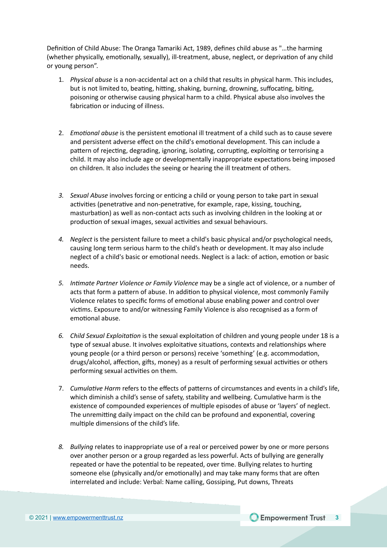Definition of Child Abuse: The Oranga Tamariki Act, 1989, defines child abuse as "...the harming (whether physically, emotionally, sexually), ill-treatment, abuse, neglect, or deprivation of any child or young person".

- 1. *Physical abuse* is a non-accidental act on a child that results in physical harm. This includes, but is not limited to, beating, hitting, shaking, burning, drowning, suffocating, biting, poisoning or otherwise causing physical harm to a child. Physical abuse also involves the fabrication or inducing of illness.
- 2. *Emotional abuse* is the persistent emotional ill treatment of a child such as to cause severe and persistent adverse effect on the child's emotional development. This can include a pattern of rejecting, degrading, ignoring, isolating, corrupting, exploiting or terrorising a child. It may also include age or developmentally inappropriate expectations being imposed on children. It also includes the seeing or hearing the ill treatment of others.
- 3. *Sexual Abuse* involves forcing or enticing a child or young person to take part in sexual activities (penetrative and non-penetrative, for example, rape, kissing, touching, masturbation) as well as non-contact acts such as involving children in the looking at or production of sexual images, sexual activities and sexual behaviours.
- *4. Neglect* is the persistent failure to meet a child's basic physical and/or psychological needs, causing long term serious harm to the child's heath or development. It may also include neglect of a child's basic or emotional needs. Neglect is a lack: of action, emotion or basic needs.
- *5. Inmate Partner Violence or Family Violence* may be a single act of violence, or a number of acts that form a pattern of abuse. In addition to physical violence, most commonly Family Violence relates to specific forms of emotional abuse enabling power and control over victims. Exposure to and/or witnessing Family Violence is also recognised as a form of emotional abuse.
- 6. Child Sexual *Exploitation* is the sexual exploitation of children and young people under 18 is a type of sexual abuse. It involves exploitative situations, contexts and relationships where young people (or a third person or persons) receive 'something' (e.g. accommodation, drugs/alcohol, affection, gifts, money) as a result of performing sexual activities or others performing sexual activities on them.
- 7. Cumulative Harm refers to the effects of patterns of circumstances and events in a child's life, which diminish a child's sense of safety, stability and wellbeing. Cumulative harm is the existence of compounded experiences of multiple episodes of abuse or 'layers' of neglect. The unremitting daily impact on the child can be profound and exponential, covering multiple dimensions of the child's life.
- *8. Bullying* relates to inappropriate use of a real or perceived power by one or more persons over another person or a group regarded as less powerful. Acts of bullying are generally repeated or have the potential to be repeated, over time. Bullying relates to hurting someone else (physically and/or emotionally) and may take many forms that are often interrelated and include: Verbal: Name calling, Gossiping, Put downs, Threats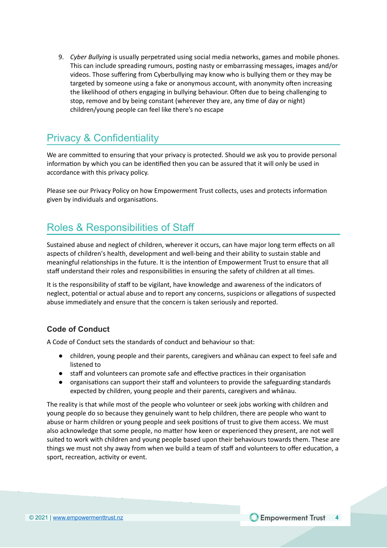9. *Cyber Bullying* is usually perpetrated using social media networks, games and mobile phones. This can include spreading rumours, posting nasty or embarrassing messages, images and/or videos. Those suffering from Cyberbullying may know who is bullying them or they may be targeted by someone using a fake or anonymous account, with anonymity often increasing the likelihood of others engaging in bullying behaviour. Often due to being challenging to stop, remove and by being constant (wherever they are, any time of day or night) children/young people can feel like there's no escape

## <span id="page-3-0"></span>Privacy & Confidentiality

We are committed to ensuring that your privacy is protected. Should we ask you to provide personal information by which you can be identified then you can be assured that it will only be used in accordance with this privacy policy.

Please see our Privacy Policy on how Empowerment Trust collects, uses and protects information given by individuals and organisations.

## <span id="page-3-1"></span>Roles & Responsibilities of Staff

Sustained abuse and neglect of children, wherever it occurs, can have major long term effects on all aspects of children's health, development and well-being and their ability to sustain stable and meaningful relationships in the future. It is the intention of Empowerment Trust to ensure that all staff understand their roles and responsibilities in ensuring the safety of children at all times.

It is the responsibility of staff to be vigilant, have knowledge and awareness of the indicators of neglect, potential or actual abuse and to report any concerns, suspicions or allegations of suspected abuse immediately and ensure that the concern is taken seriously and reported.

#### <span id="page-3-2"></span>**Code of Conduct**

A Code of Conduct sets the standards of conduct and behaviour so that:

- children, young people and their parents, caregivers and whānau can expect to feel safe and listened to
- staff and volunteers can promote safe and effective practices in their organisation
- organisations can support their staff and volunteers to provide the safeguarding standards expected by children, young people and their parents, caregivers and whānau.

The reality is that while most of the people who volunteer or seek jobs working with children and young people do so because they genuinely want to help children, there are people who want to abuse or harm children or young people and seek positions of trust to give them access. We must also acknowledge that some people, no matter how keen or experienced they present, are not well suited to work with children and young people based upon their behaviours towards them. These are things we must not shy away from when we build a team of staff and volunteers to offer education, a sport, recreation, activity or event.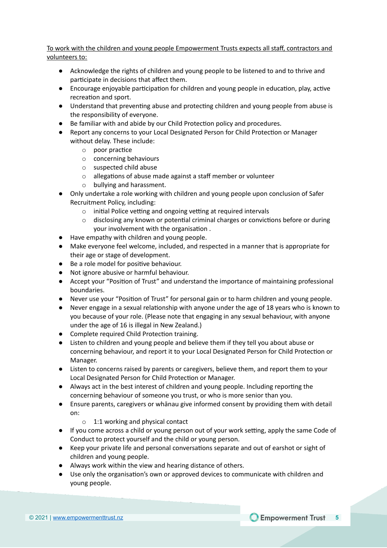To work with the children and young people Empowerment Trusts expects all staff, contractors and volunteers to:

- Acknowledge the rights of children and young people to be listened to and to thrive and participate in decisions that affect them.
- Encourage enjoyable participation for children and young people in education, play, active recreation and sport.
- Understand that preventing abuse and protecting children and young people from abuse is the responsibility of everyone.
- Be familiar with and abide by our Child Protection policy and procedures.
- Report any concerns to your Local Designated Person for Child Protection or Manager without delay. These include:
	- $\circ$  poor practice
	- o concerning behaviours
	- o suspected child abuse
	- $\circ$  allegations of abuse made against a staff member or volunteer
	- o bullying and harassment.
- Only undertake a role working with children and young people upon conclusion of Safer Recruitment Policy, including:
	- $\circ$  initial Police vetting and ongoing vetting at required intervals
	- $\circ$  disclosing any known or potential criminal charges or convictions before or during your involvement with the organisation.
- Have empathy with children and young people.
- Make everyone feel welcome, included, and respected in a manner that is appropriate for their age or stage of development.
- Be a role model for positive behaviour.
- Not ignore abusive or harmful behaviour.
- Accept your "Position of Trust" and understand the importance of maintaining professional boundaries.
- Never use your "Position of Trust" for personal gain or to harm children and young people.
- $\bullet$  Never engage in a sexual relationship with anyone under the age of 18 years who is known to you because of your role. (Please note that engaging in any sexual behaviour, with anyone under the age of 16 is illegal in New Zealand.)
- Complete required Child Protection training.
- Listen to children and young people and believe them if they tell you about abuse or concerning behaviour, and report it to your Local Designated Person for Child Protection or Manager.
- Listen to concerns raised by parents or caregivers, believe them, and report them to your Local Designated Person for Child Protection or Manager.
- Always act in the best interest of children and young people. Including reporting the concerning behaviour of someone you trust, or who is more senior than you.
- Ensure parents, caregivers or whānau give informed consent by providing them with detail on:
	- o 1:1 working and physical contact
- If you come across a child or young person out of your work setting, apply the same Code of Conduct to protect yourself and the child or young person.
- Keep your private life and personal conversations separate and out of earshot or sight of children and young people.
- Always work within the view and hearing distance of others.
- Use only the organisation's own or approved devices to communicate with children and young people.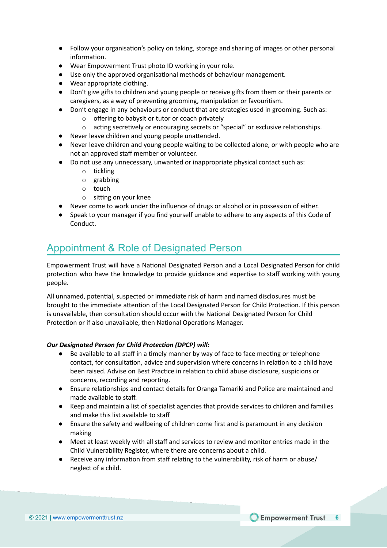- Follow your organisation's policy on taking, storage and sharing of images or other personal information.
- Wear Empowerment Trust photo ID working in your role.
- Use only the approved organisational methods of behaviour management.
- Wear appropriate clothing.
- Don't give gifts to children and young people or receive gifts from them or their parents or caregivers, as a way of preventing grooming, manipulation or favouritism.
- Don't engage in any behaviours or conduct that are strategies used in grooming. Such as:
	- o offering to babysit or tutor or coach privately
	- $\circ$  acting secretively or encouraging secrets or "special" or exclusive relationships.
- Never leave children and young people unattended.
- Never leave children and young people waiting to be collected alone, or with people who are not an approved staff member or volunteer.
- Do not use any unnecessary, unwanted or inappropriate physical contact such as:
	- $\circ$  tickling
	- o grabbing
	- o touch
	- $\circ$  sitting on your knee
- Never come to work under the influence of drugs or alcohol or in possession of either.
- Speak to your manager if you find yourself unable to adhere to any aspects of this Code of Conduct.

## <span id="page-5-0"></span>Appointment & Role of Designated Person

Empowerment Trust will have a National Designated Person and a Local Designated Person for child protection who have the knowledge to provide guidance and expertise to staff working with young people.

All unnamed, potential, suspected or immediate risk of harm and named disclosures must be brought to the immediate attention of the Local Designated Person for Child Protection. If this person is unavailable, then consultation should occur with the National Designated Person for Child Protection or if also unavailable, then National Operations Manager.

#### *Our Designated Person for Child Protecon (DPCP) will:*

- $\bullet$  Be available to all staff in a timely manner by way of face to face meeting or telephone contact, for consultation, advice and supervision where concerns in relation to a child have been raised. Advise on Best Practice in relation to child abuse disclosure, suspicions or concerns, recording and reporting.
- Ensure relationships and contact details for Oranga Tamariki and Police are maintained and made available to staff.
- Keep and maintain a list of specialist agencies that provide services to children and families and make this list available to staff
- Ensure the safety and wellbeing of children come first and is paramount in any decision making
- Meet at least weekly with all staff and services to review and monitor entries made in the Child Vulnerability Register, where there are concerns about a child.
- Receive any information from staff relating to the vulnerability, risk of harm or abuse/ neglect of a child.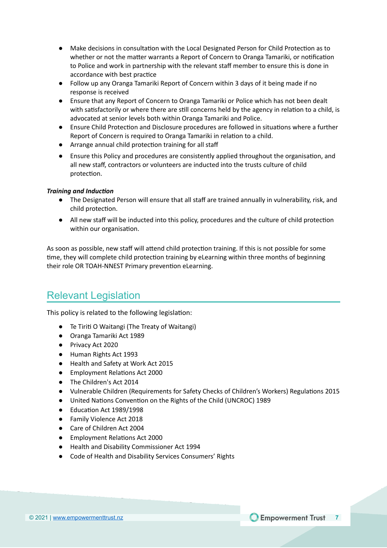- Make decisions in consultation with the Local Designated Person for Child Protection as to whether or not the matter warrants a Report of Concern to Oranga Tamariki, or notification to Police and work in partnership with the relevant staff member to ensure this is done in accordance with best practice
- Follow up any Oranga Tamariki Report of Concern within 3 days of it being made if no response is received
- Ensure that any Report of Concern to Oranga Tamariki or Police which has not been dealt with satisfactorily or where there are still concerns held by the agency in relation to a child, is advocated at senior levels both within Oranga Tamariki and Police.
- Ensure Child Protection and Disclosure procedures are followed in situations where a further Report of Concern is required to Oranga Tamariki in relation to a child.
- Arrange annual child protection training for all staff
- Ensure this Policy and procedures are consistently applied throughout the organisation, and all new staff, contractors or volunteers are inducted into the trusts culture of child protection.

#### **Training and Induction**

- The Designated Person will ensure that all staff are trained annually in vulnerability, risk, and child protection.
- All new staff will be inducted into this policy, procedures and the culture of child protection within our organisation.

As soon as possible, new staff will attend child protection training. If this is not possible for some time, they will complete child protection training by eLearning within three months of beginning their role OR TOAH-NNEST Primary prevention eLearning.

### <span id="page-6-0"></span>Relevant Legislation

This policy is related to the following legislation:

- Te Tiriti O Waitangi (The Treaty of Waitangi)
- Oranga Tamariki Act 1989
- Privacy Act 2020
- Human Rights Act 1993
- Health and Safety at Work Act 2015
- Employment Relations Act 2000
- The Children's Act 2014
- Vulnerable Children (Requirements for Safety Checks of Children's Workers) Regulations 2015
- United Nations Convention on the Rights of the Child (UNCROC) 1989
- Education Act 1989/1998
- Family Violence Act 2018
- Care of Children Act 2004
- Employment Relations Act 2000
- Health and Disability Commissioner Act 1994
- Code of Health and Disability Services Consumers' Rights